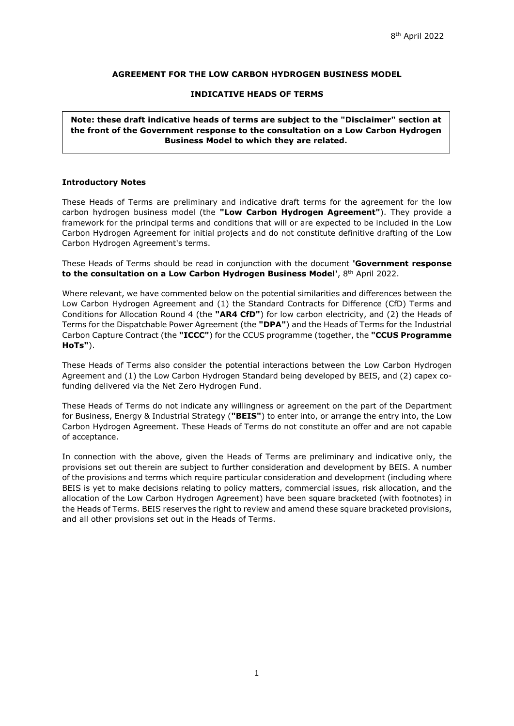### **AGREEMENT FOR THE LOW CARBON HYDROGEN BUSINESS MODEL**

#### **INDICATIVE HEADS OF TERMS**

**Note: these draft indicative heads of terms are subject to the "Disclaimer" section at the front of the Government response to the consultation on a Low Carbon Hydrogen Business Model to which they are related.**

#### **Introductory Notes**

These Heads of Terms are preliminary and indicative draft terms for the agreement for the low carbon hydrogen business model (the **"Low Carbon Hydrogen Agreement"**). They provide a framework for the principal terms and conditions that will or are expected to be included in the Low Carbon Hydrogen Agreement for initial projects and do not constitute definitive drafting of the Low Carbon Hydrogen Agreement's terms.

These Heads of Terms should be read in conjunction with the document **'Government response to the consultation on a Low Carbon Hydrogen Business Model'**, 8th April 2022.

Where relevant, we have commented below on the potential similarities and differences between the Low Carbon Hydrogen Agreement and (1) the Standard Contracts for Difference (CfD) Terms and Conditions for Allocation Round 4 (the **"AR4 CfD"**) for low carbon electricity, and (2) the Heads of Terms for the Dispatchable Power Agreement (the **"DPA"**) and the Heads of Terms for the Industrial Carbon Capture Contract (the **"ICCC"**) for the CCUS programme (together, the **"CCUS Programme HoTs"**).

These Heads of Terms also consider the potential interactions between the Low Carbon Hydrogen Agreement and (1) the Low Carbon Hydrogen Standard being developed by BEIS, and (2) capex cofunding delivered via the Net Zero Hydrogen Fund.

These Heads of Terms do not indicate any willingness or agreement on the part of the Department for Business, Energy & Industrial Strategy (**"BEIS"**) to enter into, or arrange the entry into, the Low Carbon Hydrogen Agreement. These Heads of Terms do not constitute an offer and are not capable of acceptance.

In connection with the above, given the Heads of Terms are preliminary and indicative only, the provisions set out therein are subject to further consideration and development by BEIS. A number of the provisions and terms which require particular consideration and development (including where BEIS is yet to make decisions relating to policy matters, commercial issues, risk allocation, and the allocation of the Low Carbon Hydrogen Agreement) have been square bracketed (with footnotes) in the Heads of Terms. BEIS reserves the right to review and amend these square bracketed provisions, and all other provisions set out in the Heads of Terms.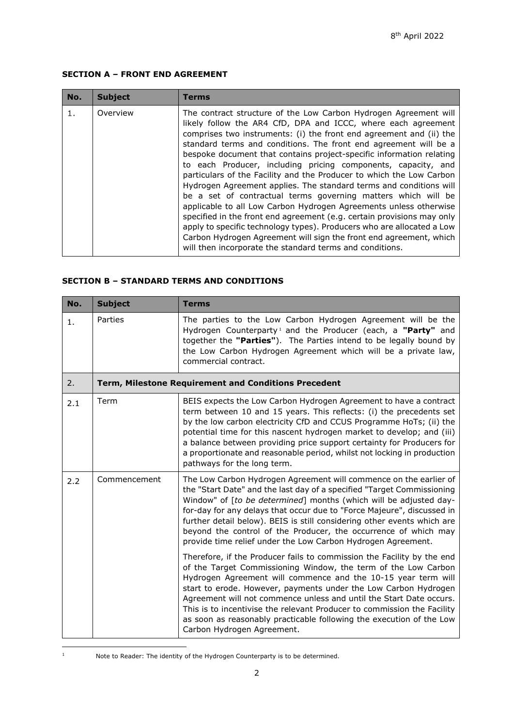# **SECTION A – FRONT END AGREEMENT**

| No. | <b>Subject</b> | Terms                                                                                                                                                                                                                                                                                                                                                                                                                                                                                                                                                                                                                                                                                                                                                                                                                                                                                                                                                                                           |
|-----|----------------|-------------------------------------------------------------------------------------------------------------------------------------------------------------------------------------------------------------------------------------------------------------------------------------------------------------------------------------------------------------------------------------------------------------------------------------------------------------------------------------------------------------------------------------------------------------------------------------------------------------------------------------------------------------------------------------------------------------------------------------------------------------------------------------------------------------------------------------------------------------------------------------------------------------------------------------------------------------------------------------------------|
| 1.  | Overview       | The contract structure of the Low Carbon Hydrogen Agreement will<br>likely follow the AR4 CfD, DPA and ICCC, where each agreement<br>comprises two instruments: (i) the front end agreement and (ii) the<br>standard terms and conditions. The front end agreement will be a<br>bespoke document that contains project-specific information relating<br>to each Producer, including pricing components, capacity, and<br>particulars of the Facility and the Producer to which the Low Carbon<br>Hydrogen Agreement applies. The standard terms and conditions will<br>be a set of contractual terms governing matters which will be<br>applicable to all Low Carbon Hydrogen Agreements unless otherwise<br>specified in the front end agreement (e.g. certain provisions may only<br>apply to specific technology types). Producers who are allocated a Low<br>Carbon Hydrogen Agreement will sign the front end agreement, which<br>will then incorporate the standard terms and conditions. |

### **SECTION B – STANDARD TERMS AND CONDITIONS**

<span id="page-1-1"></span>

| No. | <b>Subject</b>                                       | <b>Terms</b>                                                                                                                                                                                                                                                                                                                                                                                                                                                                                                                         |
|-----|------------------------------------------------------|--------------------------------------------------------------------------------------------------------------------------------------------------------------------------------------------------------------------------------------------------------------------------------------------------------------------------------------------------------------------------------------------------------------------------------------------------------------------------------------------------------------------------------------|
| 1.  | Parties                                              | The parties to the Low Carbon Hydrogen Agreement will be the<br>Hydrogen Counterparty <sup>1</sup> and the Producer (each, a "Party" and<br>together the "Parties"). The Parties intend to be legally bound by<br>the Low Carbon Hydrogen Agreement which will be a private law,<br>commercial contract.                                                                                                                                                                                                                             |
| 2.  | Term, Milestone Requirement and Conditions Precedent |                                                                                                                                                                                                                                                                                                                                                                                                                                                                                                                                      |
| 2.1 | Term                                                 | BEIS expects the Low Carbon Hydrogen Agreement to have a contract<br>term between 10 and 15 years. This reflects: (i) the precedents set<br>by the low carbon electricity CfD and CCUS Programme HoTs; (ii) the<br>potential time for this nascent hydrogen market to develop; and (iii)<br>a balance between providing price support certainty for Producers for<br>a proportionate and reasonable period, whilst not locking in production<br>pathways for the long term.                                                          |
| 2.2 | Commencement                                         | The Low Carbon Hydrogen Agreement will commence on the earlier of<br>the "Start Date" and the last day of a specified "Target Commissioning<br>Window" of [to be determined] months (which will be adjusted day-<br>for-day for any delays that occur due to "Force Majeure", discussed in<br>further detail below). BEIS is still considering other events which are<br>beyond the control of the Producer, the occurrence of which may<br>provide time relief under the Low Carbon Hydrogen Agreement.                             |
|     |                                                      | Therefore, if the Producer fails to commission the Facility by the end<br>of the Target Commissioning Window, the term of the Low Carbon<br>Hydrogen Agreement will commence and the 10-15 year term will<br>start to erode. However, payments under the Low Carbon Hydrogen<br>Agreement will not commence unless and until the Start Date occurs.<br>This is to incentivise the relevant Producer to commission the Facility<br>as soon as reasonably practicable following the execution of the Low<br>Carbon Hydrogen Agreement. |

<span id="page-1-0"></span><sup>&</sup>lt;sup>1</sup> Note to Reader: The identity of the Hydrogen Counterparty is to be determined.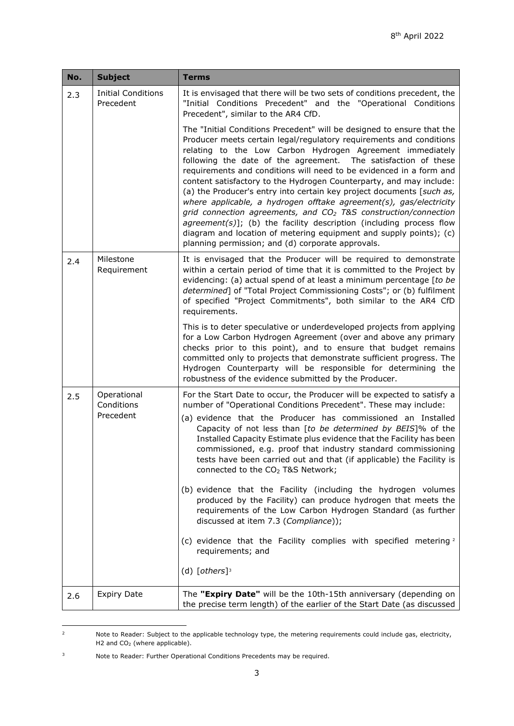<span id="page-2-4"></span><span id="page-2-3"></span>

| <b>Subject</b>                                                                                                                                                                                                                                                                                                                                                                                                                                                                                                                                                                                                                                                                                                                                                                                                                                             |  |
|------------------------------------------------------------------------------------------------------------------------------------------------------------------------------------------------------------------------------------------------------------------------------------------------------------------------------------------------------------------------------------------------------------------------------------------------------------------------------------------------------------------------------------------------------------------------------------------------------------------------------------------------------------------------------------------------------------------------------------------------------------------------------------------------------------------------------------------------------------|--|
| <b>Initial Conditions</b><br>It is envisaged that there will be two sets of conditions precedent, the<br>2.3<br>Precedent<br>"Initial Conditions Precedent" and the "Operational Conditions<br>Precedent", similar to the AR4 CfD.                                                                                                                                                                                                                                                                                                                                                                                                                                                                                                                                                                                                                         |  |
| The "Initial Conditions Precedent" will be designed to ensure that the<br>Producer meets certain legal/regulatory requirements and conditions<br>relating to the Low Carbon Hydrogen Agreement immediately<br>following the date of the agreement. The satisfaction of these<br>requirements and conditions will need to be evidenced in a form and<br>content satisfactory to the Hydrogen Counterparty, and may include:<br>(a) the Producer's entry into certain key project documents [such as,<br>where applicable, a hydrogen offtake agreement(s), gas/electricity<br>grid connection agreements, and CO <sub>2</sub> T&S construction/connection<br>agreement(s)]; (b) the facility description (including process flow<br>diagram and location of metering equipment and supply points); (c)<br>planning permission; and (d) corporate approvals. |  |
| Milestone<br>It is envisaged that the Producer will be required to demonstrate<br>2.4<br>within a certain period of time that it is committed to the Project by<br>Requirement<br>evidencing: (a) actual spend of at least a minimum percentage [to be<br>determined] of "Total Project Commissioning Costs"; or (b) fulfilment<br>of specified "Project Commitments", both similar to the AR4 CfD<br>requirements.                                                                                                                                                                                                                                                                                                                                                                                                                                        |  |
| This is to deter speculative or underdeveloped projects from applying<br>for a Low Carbon Hydrogen Agreement (over and above any primary<br>checks prior to this point), and to ensure that budget remains<br>committed only to projects that demonstrate sufficient progress. The<br>Hydrogen Counterparty will be responsible for determining the<br>robustness of the evidence submitted by the Producer.                                                                                                                                                                                                                                                                                                                                                                                                                                               |  |
| Operational<br>For the Start Date to occur, the Producer will be expected to satisfy a<br>2.5<br>Conditions<br>number of "Operational Conditions Precedent". These may include:<br>Precedent<br>(a) evidence that the Producer has commissioned an Installed<br>Capacity of not less than [to be determined by BEIS]% of the<br>Installed Capacity Estimate plus evidence that the Facility has been<br>commissioned, e.g. proof that industry standard commissioning<br>tests have been carried out and that (if applicable) the Facility is<br>connected to the CO <sub>2</sub> T&S Network;                                                                                                                                                                                                                                                             |  |
| (b) evidence that the Facility (including the hydrogen volumes<br>produced by the Facility) can produce hydrogen that meets the<br>requirements of the Low Carbon Hydrogen Standard (as further<br>discussed at item 7.3 (Compliance));                                                                                                                                                                                                                                                                                                                                                                                                                                                                                                                                                                                                                    |  |
| (c) evidence that the Facility complies with specified metering <sup>2</sup><br>requirements; and                                                                                                                                                                                                                                                                                                                                                                                                                                                                                                                                                                                                                                                                                                                                                          |  |
| (d) $[others]$ <sup>3</sup>                                                                                                                                                                                                                                                                                                                                                                                                                                                                                                                                                                                                                                                                                                                                                                                                                                |  |
| The "Expiry Date" will be the 10th-15th anniversary (depending on<br><b>Expiry Date</b><br>2.6<br>the precise term length) of the earlier of the Start Date (as discussed                                                                                                                                                                                                                                                                                                                                                                                                                                                                                                                                                                                                                                                                                  |  |

<span id="page-2-2"></span><span id="page-2-0"></span> $2 \text{ Note to Reader: Subject to the applicable technology type, the metering requirements could include gas, electricity, and the other.}$ H2 and CO2 (where applicable).

<span id="page-2-1"></span><sup>3</sup> Note to Reader: Further Operational Conditions Precedents may be required.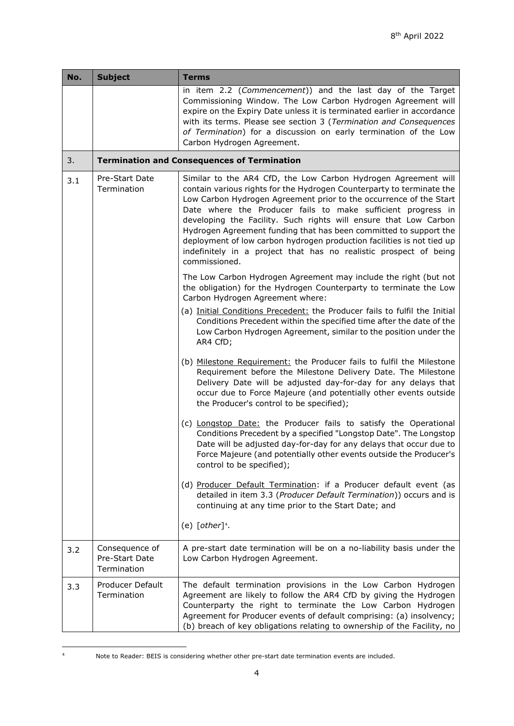| No. | <b>Subject</b>                                  | <b>Terms</b>                                                                                                                                                                                                                                                                                                                                                                                                                                                                                                                                                                           |
|-----|-------------------------------------------------|----------------------------------------------------------------------------------------------------------------------------------------------------------------------------------------------------------------------------------------------------------------------------------------------------------------------------------------------------------------------------------------------------------------------------------------------------------------------------------------------------------------------------------------------------------------------------------------|
|     |                                                 | in item 2.2 (Commencement)) and the last day of the Target<br>Commissioning Window. The Low Carbon Hydrogen Agreement will<br>expire on the Expiry Date unless it is terminated earlier in accordance<br>with its terms. Please see section 3 (Termination and Consequences<br>of Termination) for a discussion on early termination of the Low<br>Carbon Hydrogen Agreement.                                                                                                                                                                                                          |
| 3.  |                                                 | <b>Termination and Consequences of Termination</b>                                                                                                                                                                                                                                                                                                                                                                                                                                                                                                                                     |
| 3.1 | Pre-Start Date<br>Termination                   | Similar to the AR4 CfD, the Low Carbon Hydrogen Agreement will<br>contain various rights for the Hydrogen Counterparty to terminate the<br>Low Carbon Hydrogen Agreement prior to the occurrence of the Start<br>Date where the Producer fails to make sufficient progress in<br>developing the Facility. Such rights will ensure that Low Carbon<br>Hydrogen Agreement funding that has been committed to support the<br>deployment of low carbon hydrogen production facilities is not tied up<br>indefinitely in a project that has no realistic prospect of being<br>commissioned. |
|     |                                                 | The Low Carbon Hydrogen Agreement may include the right (but not<br>the obligation) for the Hydrogen Counterparty to terminate the Low<br>Carbon Hydrogen Agreement where:                                                                                                                                                                                                                                                                                                                                                                                                             |
|     |                                                 | (a) Initial Conditions Precedent: the Producer fails to fulfil the Initial<br>Conditions Precedent within the specified time after the date of the<br>Low Carbon Hydrogen Agreement, similar to the position under the<br>AR4 CfD;                                                                                                                                                                                                                                                                                                                                                     |
|     |                                                 | (b) Milestone Requirement: the Producer fails to fulfil the Milestone<br>Requirement before the Milestone Delivery Date. The Milestone<br>Delivery Date will be adjusted day-for-day for any delays that<br>occur due to Force Majeure (and potentially other events outside<br>the Producer's control to be specified);                                                                                                                                                                                                                                                               |
|     |                                                 | (c) Longstop Date: the Producer fails to satisfy the Operational<br>Conditions Precedent by a specified "Longstop Date". The Longstop<br>Date will be adjusted day-for-day for any delays that occur due to<br>Force Majeure (and potentially other events outside the Producer's<br>control to be specified);                                                                                                                                                                                                                                                                         |
|     |                                                 | (d) Producer Default Termination: if a Producer default event (as<br>detailed in item 3.3 (Producer Default Termination)) occurs and is<br>continuing at any time prior to the Start Date; and                                                                                                                                                                                                                                                                                                                                                                                         |
|     |                                                 | (e) $[other]^4$ .                                                                                                                                                                                                                                                                                                                                                                                                                                                                                                                                                                      |
| 3.2 | Consequence of<br>Pre-Start Date<br>Termination | A pre-start date termination will be on a no-liability basis under the<br>Low Carbon Hydrogen Agreement.                                                                                                                                                                                                                                                                                                                                                                                                                                                                               |
| 3.3 | Producer Default<br>Termination                 | The default termination provisions in the Low Carbon Hydrogen<br>Agreement are likely to follow the AR4 CfD by giving the Hydrogen<br>Counterparty the right to terminate the Low Carbon Hydrogen<br>Agreement for Producer events of default comprising: (a) insolvency;<br>(b) breach of key obligations relating to ownership of the Facility, no                                                                                                                                                                                                                                   |

<span id="page-3-1"></span><span id="page-3-0"></span><sup>4</sup> Note to Reader: BEIS is considering whether other pre-start date termination events are included.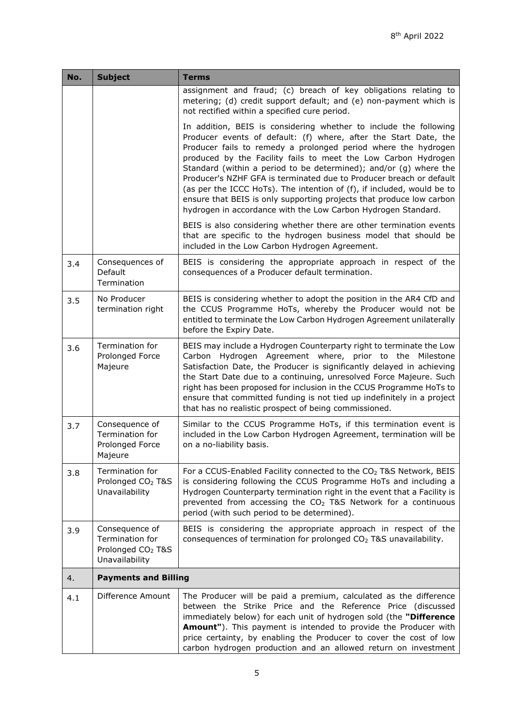<span id="page-4-0"></span>

| No. | <b>Subject</b>                                                                       | <b>Terms</b>                                                                                                                                                                                                                                                                                                                                                                                                                                                                                                                                                                                                                             |
|-----|--------------------------------------------------------------------------------------|------------------------------------------------------------------------------------------------------------------------------------------------------------------------------------------------------------------------------------------------------------------------------------------------------------------------------------------------------------------------------------------------------------------------------------------------------------------------------------------------------------------------------------------------------------------------------------------------------------------------------------------|
|     |                                                                                      | assignment and fraud; (c) breach of key obligations relating to<br>metering; (d) credit support default; and (e) non-payment which is<br>not rectified within a specified cure period.                                                                                                                                                                                                                                                                                                                                                                                                                                                   |
|     |                                                                                      | In addition, BEIS is considering whether to include the following<br>Producer events of default: (f) where, after the Start Date, the<br>Producer fails to remedy a prolonged period where the hydrogen<br>produced by the Facility fails to meet the Low Carbon Hydrogen<br>Standard (within a period to be determined); and/or (g) where the<br>Producer's NZHF GFA is terminated due to Producer breach or default<br>(as per the ICCC HoTs). The intention of (f), if included, would be to<br>ensure that BEIS is only supporting projects that produce low carbon<br>hydrogen in accordance with the Low Carbon Hydrogen Standard. |
|     |                                                                                      | BEIS is also considering whether there are other termination events<br>that are specific to the hydrogen business model that should be<br>included in the Low Carbon Hydrogen Agreement.                                                                                                                                                                                                                                                                                                                                                                                                                                                 |
| 3.4 | Consequences of<br>Default<br>Termination                                            | BEIS is considering the appropriate approach in respect of the<br>consequences of a Producer default termination.                                                                                                                                                                                                                                                                                                                                                                                                                                                                                                                        |
| 3.5 | No Producer<br>termination right                                                     | BEIS is considering whether to adopt the position in the AR4 CfD and<br>the CCUS Programme HoTs, whereby the Producer would not be<br>entitled to terminate the Low Carbon Hydrogen Agreement unilaterally<br>before the Expiry Date.                                                                                                                                                                                                                                                                                                                                                                                                    |
| 3.6 | Termination for<br>Prolonged Force<br>Majeure                                        | BEIS may include a Hydrogen Counterparty right to terminate the Low<br>Carbon Hydrogen Agreement where, prior to the Milestone<br>Satisfaction Date, the Producer is significantly delayed in achieving<br>the Start Date due to a continuing, unresolved Force Majeure. Such<br>right has been proposed for inclusion in the CCUS Programme HoTs to<br>ensure that committed funding is not tied up indefinitely in a project<br>that has no realistic prospect of being commissioned.                                                                                                                                                  |
| 3.7 | Consequence of<br>Termination for<br>Prolonged Force<br>Majeure                      | Similar to the CCUS Programme HoTs, if this termination event is<br>included in the Low Carbon Hydrogen Agreement, termination will be<br>on a no-liability basis.                                                                                                                                                                                                                                                                                                                                                                                                                                                                       |
| 3.8 | Termination for<br>Prolonged CO <sub>2</sub> T&S<br>Unavailability                   | For a CCUS-Enabled Facility connected to the CO <sub>2</sub> T&S Network, BEIS<br>is considering following the CCUS Programme HoTs and including a<br>Hydrogen Counterparty termination right in the event that a Facility is<br>prevented from accessing the CO <sub>2</sub> T&S Network for a continuous<br>period (with such period to be determined).                                                                                                                                                                                                                                                                                |
| 3.9 | Consequence of<br>Termination for<br>Prolonged CO <sub>2</sub> T&S<br>Unavailability | BEIS is considering the appropriate approach in respect of the<br>consequences of termination for prolonged CO <sub>2</sub> T&S unavailability.                                                                                                                                                                                                                                                                                                                                                                                                                                                                                          |
| 4.  | <b>Payments and Billing</b>                                                          |                                                                                                                                                                                                                                                                                                                                                                                                                                                                                                                                                                                                                                          |
| 4.1 | Difference Amount                                                                    | The Producer will be paid a premium, calculated as the difference<br>between the Strike Price and the Reference Price (discussed<br>immediately below) for each unit of hydrogen sold (the "Difference<br>Amount"). This payment is intended to provide the Producer with<br>price certainty, by enabling the Producer to cover the cost of low<br>carbon hydrogen production and an allowed return on investment                                                                                                                                                                                                                        |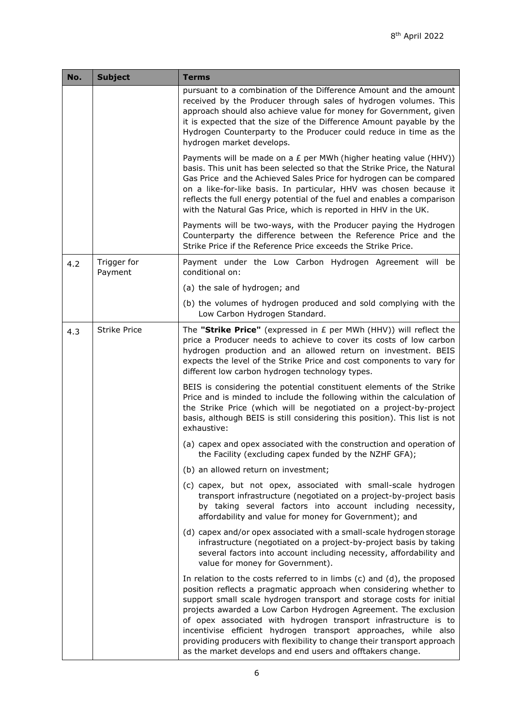<span id="page-5-1"></span><span id="page-5-0"></span>

| No. | <b>Subject</b>         | <b>Terms</b>                                                                                                                                                                                                                                                                                                                                                                                                                                                                                                                                                            |
|-----|------------------------|-------------------------------------------------------------------------------------------------------------------------------------------------------------------------------------------------------------------------------------------------------------------------------------------------------------------------------------------------------------------------------------------------------------------------------------------------------------------------------------------------------------------------------------------------------------------------|
|     |                        | pursuant to a combination of the Difference Amount and the amount<br>received by the Producer through sales of hydrogen volumes. This<br>approach should also achieve value for money for Government, given<br>it is expected that the size of the Difference Amount payable by the<br>Hydrogen Counterparty to the Producer could reduce in time as the<br>hydrogen market develops.                                                                                                                                                                                   |
|     |                        | Payments will be made on a $E$ per MWh (higher heating value (HHV))<br>basis. This unit has been selected so that the Strike Price, the Natural<br>Gas Price and the Achieved Sales Price for hydrogen can be compared<br>on a like-for-like basis. In particular, HHV was chosen because it<br>reflects the full energy potential of the fuel and enables a comparison<br>with the Natural Gas Price, which is reported in HHV in the UK.                                                                                                                              |
|     |                        | Payments will be two-ways, with the Producer paying the Hydrogen<br>Counterparty the difference between the Reference Price and the<br>Strike Price if the Reference Price exceeds the Strike Price.                                                                                                                                                                                                                                                                                                                                                                    |
| 4.2 | Trigger for<br>Payment | Payment under the Low Carbon Hydrogen Agreement will be<br>conditional on:                                                                                                                                                                                                                                                                                                                                                                                                                                                                                              |
|     |                        | (a) the sale of hydrogen; and                                                                                                                                                                                                                                                                                                                                                                                                                                                                                                                                           |
|     |                        | (b) the volumes of hydrogen produced and sold complying with the<br>Low Carbon Hydrogen Standard.                                                                                                                                                                                                                                                                                                                                                                                                                                                                       |
| 4.3 | <b>Strike Price</b>    | The "Strike Price" (expressed in $E$ per MWh (HHV)) will reflect the<br>price a Producer needs to achieve to cover its costs of low carbon<br>hydrogen production and an allowed return on investment. BEIS<br>expects the level of the Strike Price and cost components to vary for<br>different low carbon hydrogen technology types.                                                                                                                                                                                                                                 |
|     |                        | BEIS is considering the potential constituent elements of the Strike<br>Price and is minded to include the following within the calculation of<br>the Strike Price (which will be negotiated on a project-by-project<br>basis, although BEIS is still considering this position). This list is not<br>exhaustive:                                                                                                                                                                                                                                                       |
|     |                        | (a) capex and opex associated with the construction and operation of<br>the Facility (excluding capex funded by the NZHF GFA);                                                                                                                                                                                                                                                                                                                                                                                                                                          |
|     |                        | (b) an allowed return on investment;                                                                                                                                                                                                                                                                                                                                                                                                                                                                                                                                    |
|     |                        | (c) capex, but not opex, associated with small-scale hydrogen<br>transport infrastructure (negotiated on a project-by-project basis<br>by taking several factors into account including necessity,<br>affordability and value for money for Government); and                                                                                                                                                                                                                                                                                                            |
|     |                        | (d) capex and/or opex associated with a small-scale hydrogen storage<br>infrastructure (negotiated on a project-by-project basis by taking<br>several factors into account including necessity, affordability and<br>value for money for Government).                                                                                                                                                                                                                                                                                                                   |
|     |                        | In relation to the costs referred to in limbs (c) and (d), the proposed<br>position reflects a pragmatic approach when considering whether to<br>support small scale hydrogen transport and storage costs for initial<br>projects awarded a Low Carbon Hydrogen Agreement. The exclusion<br>of opex associated with hydrogen transport infrastructure is to<br>incentivise efficient hydrogen transport approaches, while also<br>providing producers with flexibility to change their transport approach<br>as the market develops and end users and offtakers change. |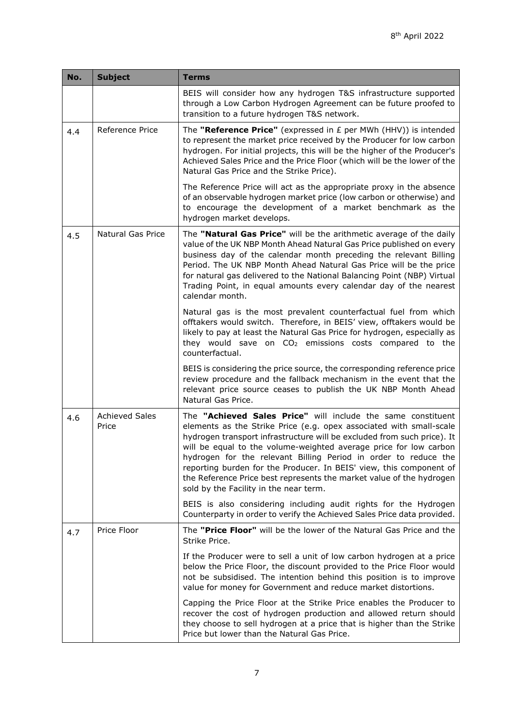<span id="page-6-3"></span><span id="page-6-2"></span><span id="page-6-1"></span><span id="page-6-0"></span>

| No. | <b>Subject</b>                 | <b>Terms</b>                                                                                                                                                                                                                                                                                                                                                                                                                                                                                                                                    |
|-----|--------------------------------|-------------------------------------------------------------------------------------------------------------------------------------------------------------------------------------------------------------------------------------------------------------------------------------------------------------------------------------------------------------------------------------------------------------------------------------------------------------------------------------------------------------------------------------------------|
|     |                                | BEIS will consider how any hydrogen T&S infrastructure supported<br>through a Low Carbon Hydrogen Agreement can be future proofed to<br>transition to a future hydrogen T&S network.                                                                                                                                                                                                                                                                                                                                                            |
| 4.4 | Reference Price                | The "Reference Price" (expressed in $E$ per MWh (HHV)) is intended<br>to represent the market price received by the Producer for low carbon<br>hydrogen. For initial projects, this will be the higher of the Producer's<br>Achieved Sales Price and the Price Floor (which will be the lower of the<br>Natural Gas Price and the Strike Price).                                                                                                                                                                                                |
|     |                                | The Reference Price will act as the appropriate proxy in the absence<br>of an observable hydrogen market price (low carbon or otherwise) and<br>to encourage the development of a market benchmark as the<br>hydrogen market develops.                                                                                                                                                                                                                                                                                                          |
| 4.5 | Natural Gas Price              | The "Natural Gas Price" will be the arithmetic average of the daily<br>value of the UK NBP Month Ahead Natural Gas Price published on every<br>business day of the calendar month preceding the relevant Billing<br>Period. The UK NBP Month Ahead Natural Gas Price will be the price<br>for natural gas delivered to the National Balancing Point (NBP) Virtual<br>Trading Point, in equal amounts every calendar day of the nearest<br>calendar month.                                                                                       |
|     |                                | Natural gas is the most prevalent counterfactual fuel from which<br>offtakers would switch. Therefore, in BEIS' view, offtakers would be<br>likely to pay at least the Natural Gas Price for hydrogen, especially as<br>they would save on CO <sub>2</sub> emissions costs compared to the<br>counterfactual.                                                                                                                                                                                                                                   |
|     |                                | BEIS is considering the price source, the corresponding reference price<br>review procedure and the fallback mechanism in the event that the<br>relevant price source ceases to publish the UK NBP Month Ahead<br>Natural Gas Price.                                                                                                                                                                                                                                                                                                            |
| 4.6 | <b>Achieved Sales</b><br>Price | The "Achieved Sales Price" will include the same constituent<br>elements as the Strike Price (e.g. opex associated with small-scale<br>hydrogen transport infrastructure will be excluded from such price). It<br>will be equal to the volume-weighted average price for low carbon<br>hydrogen for the relevant Billing Period in order to reduce the<br>reporting burden for the Producer. In BEIS' view, this component of<br>the Reference Price best represents the market value of the hydrogen<br>sold by the Facility in the near term. |
|     |                                | BEIS is also considering including audit rights for the Hydrogen<br>Counterparty in order to verify the Achieved Sales Price data provided.                                                                                                                                                                                                                                                                                                                                                                                                     |
| 4.7 | Price Floor                    | The "Price Floor" will be the lower of the Natural Gas Price and the<br>Strike Price.                                                                                                                                                                                                                                                                                                                                                                                                                                                           |
|     |                                | If the Producer were to sell a unit of low carbon hydrogen at a price<br>below the Price Floor, the discount provided to the Price Floor would<br>not be subsidised. The intention behind this position is to improve<br>value for money for Government and reduce market distortions.                                                                                                                                                                                                                                                          |
|     |                                | Capping the Price Floor at the Strike Price enables the Producer to<br>recover the cost of hydrogen production and allowed return should<br>they choose to sell hydrogen at a price that is higher than the Strike<br>Price but lower than the Natural Gas Price.                                                                                                                                                                                                                                                                               |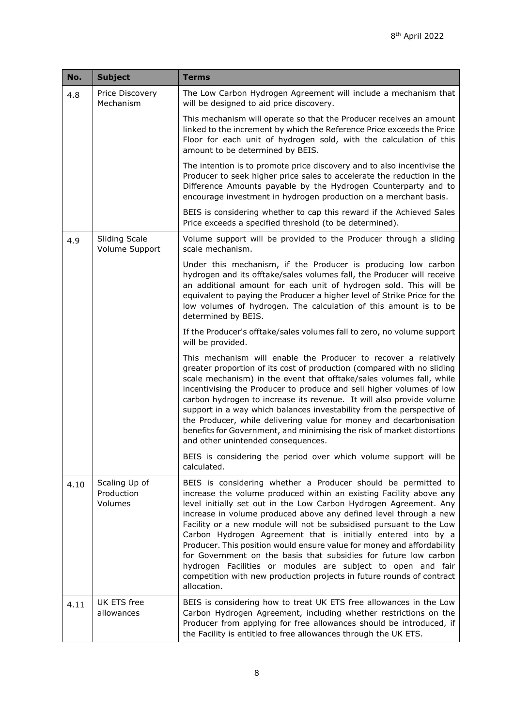| No.  | <b>Subject</b>                         | <b>Terms</b>                                                                                                                                                                                                                                                                                                                                                                                                                                                                                                                                                                                                                                                                                                               |
|------|----------------------------------------|----------------------------------------------------------------------------------------------------------------------------------------------------------------------------------------------------------------------------------------------------------------------------------------------------------------------------------------------------------------------------------------------------------------------------------------------------------------------------------------------------------------------------------------------------------------------------------------------------------------------------------------------------------------------------------------------------------------------------|
| 4.8  | Price Discovery<br>Mechanism           | The Low Carbon Hydrogen Agreement will include a mechanism that<br>will be designed to aid price discovery.                                                                                                                                                                                                                                                                                                                                                                                                                                                                                                                                                                                                                |
|      |                                        | This mechanism will operate so that the Producer receives an amount<br>linked to the increment by which the Reference Price exceeds the Price<br>Floor for each unit of hydrogen sold, with the calculation of this<br>amount to be determined by BEIS.                                                                                                                                                                                                                                                                                                                                                                                                                                                                    |
|      |                                        | The intention is to promote price discovery and to also incentivise the<br>Producer to seek higher price sales to accelerate the reduction in the<br>Difference Amounts payable by the Hydrogen Counterparty and to<br>encourage investment in hydrogen production on a merchant basis.                                                                                                                                                                                                                                                                                                                                                                                                                                    |
|      |                                        | BEIS is considering whether to cap this reward if the Achieved Sales<br>Price exceeds a specified threshold (to be determined).                                                                                                                                                                                                                                                                                                                                                                                                                                                                                                                                                                                            |
| 4.9  | <b>Sliding Scale</b><br>Volume Support | Volume support will be provided to the Producer through a sliding<br>scale mechanism.                                                                                                                                                                                                                                                                                                                                                                                                                                                                                                                                                                                                                                      |
|      |                                        | Under this mechanism, if the Producer is producing low carbon<br>hydrogen and its offtake/sales volumes fall, the Producer will receive<br>an additional amount for each unit of hydrogen sold. This will be<br>equivalent to paying the Producer a higher level of Strike Price for the<br>low volumes of hydrogen. The calculation of this amount is to be<br>determined by BEIS.                                                                                                                                                                                                                                                                                                                                        |
|      |                                        | If the Producer's offtake/sales volumes fall to zero, no volume support<br>will be provided.                                                                                                                                                                                                                                                                                                                                                                                                                                                                                                                                                                                                                               |
|      |                                        | This mechanism will enable the Producer to recover a relatively<br>greater proportion of its cost of production (compared with no sliding<br>scale mechanism) in the event that offtake/sales volumes fall, while<br>incentivising the Producer to produce and sell higher volumes of low<br>carbon hydrogen to increase its revenue. It will also provide volume<br>support in a way which balances investability from the perspective of<br>the Producer, while delivering value for money and decarbonisation<br>benefits for Government, and minimising the risk of market distortions<br>and other unintended consequences.                                                                                           |
|      |                                        | BEIS is considering the period over which volume support will be<br>calculated.                                                                                                                                                                                                                                                                                                                                                                                                                                                                                                                                                                                                                                            |
| 4.10 | Scaling Up of<br>Production<br>Volumes | BEIS is considering whether a Producer should be permitted to<br>increase the volume produced within an existing Facility above any<br>level initially set out in the Low Carbon Hydrogen Agreement. Any<br>increase in volume produced above any defined level through a new<br>Facility or a new module will not be subsidised pursuant to the Low<br>Carbon Hydrogen Agreement that is initially entered into by a<br>Producer. This position would ensure value for money and affordability<br>for Government on the basis that subsidies for future low carbon<br>hydrogen Facilities or modules are subject to open and fair<br>competition with new production projects in future rounds of contract<br>allocation. |
| 4.11 | UK ETS free<br>allowances              | BEIS is considering how to treat UK ETS free allowances in the Low<br>Carbon Hydrogen Agreement, including whether restrictions on the<br>Producer from applying for free allowances should be introduced, if<br>the Facility is entitled to free allowances through the UK ETS.                                                                                                                                                                                                                                                                                                                                                                                                                                           |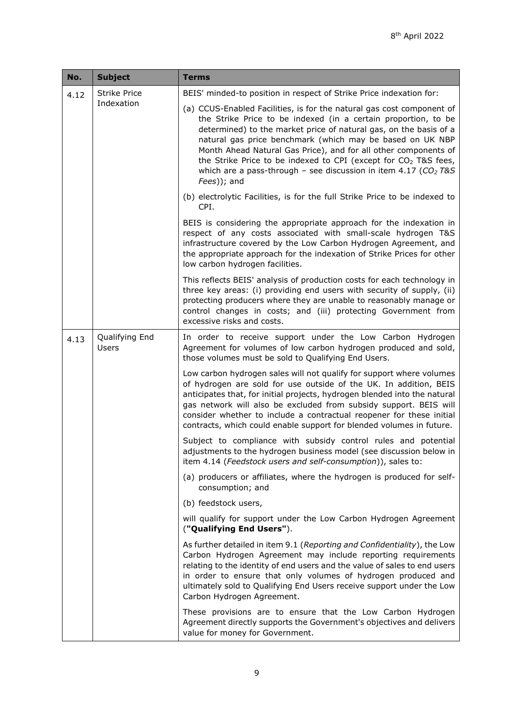<span id="page-8-0"></span>

| No.  | <b>Subject</b>                    | Terms                                                                                                                                                                                                                                                                                                                                                                                                                                                                                                            |                                                                                                                                                                                                                                                                                                                                                                                                                                             |
|------|-----------------------------------|------------------------------------------------------------------------------------------------------------------------------------------------------------------------------------------------------------------------------------------------------------------------------------------------------------------------------------------------------------------------------------------------------------------------------------------------------------------------------------------------------------------|---------------------------------------------------------------------------------------------------------------------------------------------------------------------------------------------------------------------------------------------------------------------------------------------------------------------------------------------------------------------------------------------------------------------------------------------|
| 4.12 | <b>Strike Price</b><br>Indexation | BEIS' minded-to position in respect of Strike Price indexation for:                                                                                                                                                                                                                                                                                                                                                                                                                                              |                                                                                                                                                                                                                                                                                                                                                                                                                                             |
|      |                                   | (a) CCUS-Enabled Facilities, is for the natural gas cost component of<br>the Strike Price to be indexed (in a certain proportion, to be<br>determined) to the market price of natural gas, on the basis of a<br>natural gas price benchmark (which may be based on UK NBP<br>Month Ahead Natural Gas Price), and for all other components of<br>the Strike Price to be indexed to CPI (except for CO <sub>2</sub> T&S fees,<br>which are a pass-through - see discussion in item 4.17 ( $CO2$ T&S<br>Fees)); and |                                                                                                                                                                                                                                                                                                                                                                                                                                             |
|      |                                   | (b) electrolytic Facilities, is for the full Strike Price to be indexed to<br>CPI.                                                                                                                                                                                                                                                                                                                                                                                                                               |                                                                                                                                                                                                                                                                                                                                                                                                                                             |
|      |                                   | BEIS is considering the appropriate approach for the indexation in<br>respect of any costs associated with small-scale hydrogen T&S<br>infrastructure covered by the Low Carbon Hydrogen Agreement, and<br>the appropriate approach for the indexation of Strike Prices for other<br>low carbon hydrogen facilities.                                                                                                                                                                                             |                                                                                                                                                                                                                                                                                                                                                                                                                                             |
|      |                                   | This reflects BEIS' analysis of production costs for each technology in<br>three key areas: (i) providing end users with security of supply, (ii)<br>protecting producers where they are unable to reasonably manage or<br>control changes in costs; and (iii) protecting Government from<br>excessive risks and costs.                                                                                                                                                                                          |                                                                                                                                                                                                                                                                                                                                                                                                                                             |
| 4.13 | Qualifying End<br>Users           | In order to receive support under the Low Carbon Hydrogen<br>Agreement for volumes of low carbon hydrogen produced and sold,<br>those volumes must be sold to Qualifying End Users.                                                                                                                                                                                                                                                                                                                              |                                                                                                                                                                                                                                                                                                                                                                                                                                             |
|      |                                   |                                                                                                                                                                                                                                                                                                                                                                                                                                                                                                                  | Low carbon hydrogen sales will not qualify for support where volumes<br>of hydrogen are sold for use outside of the UK. In addition, BEIS<br>anticipates that, for initial projects, hydrogen blended into the natural<br>gas network will also be excluded from subsidy support. BEIS will<br>consider whether to include a contractual reopener for these initial<br>contracts, which could enable support for blended volumes in future. |
|      |                                   | Subject to compliance with subsidy control rules and potential<br>adjustments to the hydrogen business model (see discussion below in<br>item 4.14 (Feedstock users and self-consumption)), sales to:                                                                                                                                                                                                                                                                                                            |                                                                                                                                                                                                                                                                                                                                                                                                                                             |
|      |                                   | (a) producers or affiliates, where the hydrogen is produced for self-<br>consumption; and                                                                                                                                                                                                                                                                                                                                                                                                                        |                                                                                                                                                                                                                                                                                                                                                                                                                                             |
|      |                                   | (b) feedstock users,                                                                                                                                                                                                                                                                                                                                                                                                                                                                                             |                                                                                                                                                                                                                                                                                                                                                                                                                                             |
|      |                                   | will qualify for support under the Low Carbon Hydrogen Agreement<br>("Qualifying End Users").                                                                                                                                                                                                                                                                                                                                                                                                                    |                                                                                                                                                                                                                                                                                                                                                                                                                                             |
|      |                                   | As further detailed in item 9.1 (Reporting and Confidentiality), the Low<br>Carbon Hydrogen Agreement may include reporting requirements<br>relating to the identity of end users and the value of sales to end users<br>in order to ensure that only volumes of hydrogen produced and<br>ultimately sold to Qualifying End Users receive support under the Low<br>Carbon Hydrogen Agreement.                                                                                                                    |                                                                                                                                                                                                                                                                                                                                                                                                                                             |
|      |                                   | These provisions are to ensure that the Low Carbon Hydrogen<br>Agreement directly supports the Government's objectives and delivers<br>value for money for Government.                                                                                                                                                                                                                                                                                                                                           |                                                                                                                                                                                                                                                                                                                                                                                                                                             |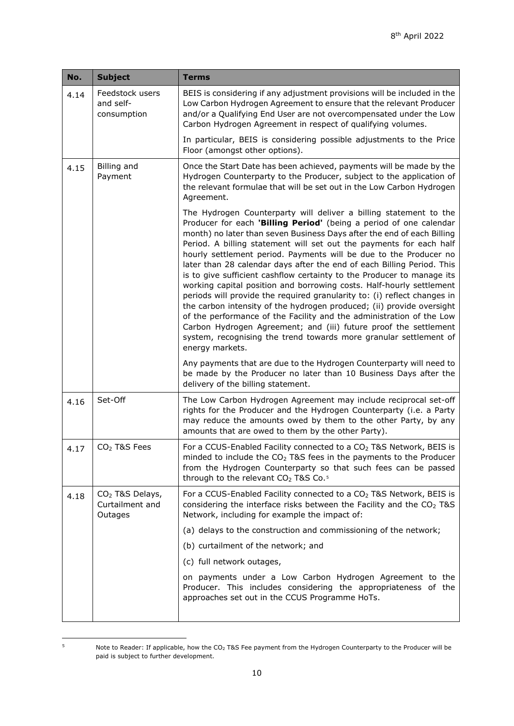<span id="page-9-3"></span><span id="page-9-1"></span>

| BEIS is considering if any adjustment provisions will be included in the                                                                                                                                                                                                                                                                                                                                                                                                                                                                                                                                                                                                                                                                                                                                                                                                                                                                                                           |
|------------------------------------------------------------------------------------------------------------------------------------------------------------------------------------------------------------------------------------------------------------------------------------------------------------------------------------------------------------------------------------------------------------------------------------------------------------------------------------------------------------------------------------------------------------------------------------------------------------------------------------------------------------------------------------------------------------------------------------------------------------------------------------------------------------------------------------------------------------------------------------------------------------------------------------------------------------------------------------|
| Low Carbon Hydrogen Agreement to ensure that the relevant Producer<br>and/or a Qualifying End User are not overcompensated under the Low<br>Carbon Hydrogen Agreement in respect of qualifying volumes.                                                                                                                                                                                                                                                                                                                                                                                                                                                                                                                                                                                                                                                                                                                                                                            |
| In particular, BEIS is considering possible adjustments to the Price<br>Floor (amongst other options).                                                                                                                                                                                                                                                                                                                                                                                                                                                                                                                                                                                                                                                                                                                                                                                                                                                                             |
| Once the Start Date has been achieved, payments will be made by the<br>Hydrogen Counterparty to the Producer, subject to the application of<br>the relevant formulae that will be set out in the Low Carbon Hydrogen<br>Agreement.                                                                                                                                                                                                                                                                                                                                                                                                                                                                                                                                                                                                                                                                                                                                                 |
| The Hydrogen Counterparty will deliver a billing statement to the<br>Producer for each 'Billing Period' (being a period of one calendar<br>month) no later than seven Business Days after the end of each Billing<br>Period. A billing statement will set out the payments for each half<br>hourly settlement period. Payments will be due to the Producer no<br>later than 28 calendar days after the end of each Billing Period. This<br>is to give sufficient cashflow certainty to the Producer to manage its<br>working capital position and borrowing costs. Half-hourly settlement<br>periods will provide the required granularity to: (i) reflect changes in<br>the carbon intensity of the hydrogen produced; (ii) provide oversight<br>of the performance of the Facility and the administration of the Low<br>Carbon Hydrogen Agreement; and (iii) future proof the settlement<br>system, recognising the trend towards more granular settlement of<br>energy markets. |
| Any payments that are due to the Hydrogen Counterparty will need to<br>be made by the Producer no later than 10 Business Days after the<br>delivery of the billing statement.                                                                                                                                                                                                                                                                                                                                                                                                                                                                                                                                                                                                                                                                                                                                                                                                      |
| The Low Carbon Hydrogen Agreement may include reciprocal set-off<br>rights for the Producer and the Hydrogen Counterparty (i.e. a Party<br>may reduce the amounts owed by them to the other Party, by any<br>amounts that are owed to them by the other Party).                                                                                                                                                                                                                                                                                                                                                                                                                                                                                                                                                                                                                                                                                                                    |
| For a CCUS-Enabled Facility connected to a CO <sub>2</sub> T&S Network, BEIS is<br>minded to include the CO <sub>2</sub> T&S fees in the payments to the Producer<br>from the Hydrogen Counterparty so that such fees can be passed<br>through to the relevant CO <sub>2</sub> T&S Co. <sup>5</sup>                                                                                                                                                                                                                                                                                                                                                                                                                                                                                                                                                                                                                                                                                |
| For a CCUS-Enabled Facility connected to a CO <sub>2</sub> T&S Network, BEIS is<br>considering the interface risks between the Facility and the CO <sub>2</sub> T&S<br>Network, including for example the impact of:                                                                                                                                                                                                                                                                                                                                                                                                                                                                                                                                                                                                                                                                                                                                                               |
| (a) delays to the construction and commissioning of the network;                                                                                                                                                                                                                                                                                                                                                                                                                                                                                                                                                                                                                                                                                                                                                                                                                                                                                                                   |
| (b) curtailment of the network; and                                                                                                                                                                                                                                                                                                                                                                                                                                                                                                                                                                                                                                                                                                                                                                                                                                                                                                                                                |
| (c) full network outages,                                                                                                                                                                                                                                                                                                                                                                                                                                                                                                                                                                                                                                                                                                                                                                                                                                                                                                                                                          |
| on payments under a Low Carbon Hydrogen Agreement to the<br>Producer. This includes considering the appropriateness of the<br>approaches set out in the CCUS Programme HoTs.                                                                                                                                                                                                                                                                                                                                                                                                                                                                                                                                                                                                                                                                                                                                                                                                       |
|                                                                                                                                                                                                                                                                                                                                                                                                                                                                                                                                                                                                                                                                                                                                                                                                                                                                                                                                                                                    |

<span id="page-9-2"></span><span id="page-9-0"></span>

<sup>&</sup>lt;sup>5</sup> Note to Reader: If applicable, how the CO<sub>2</sub> T&S Fee payment from the Hydrogen Counterparty to the Producer will be paid is subject to further development.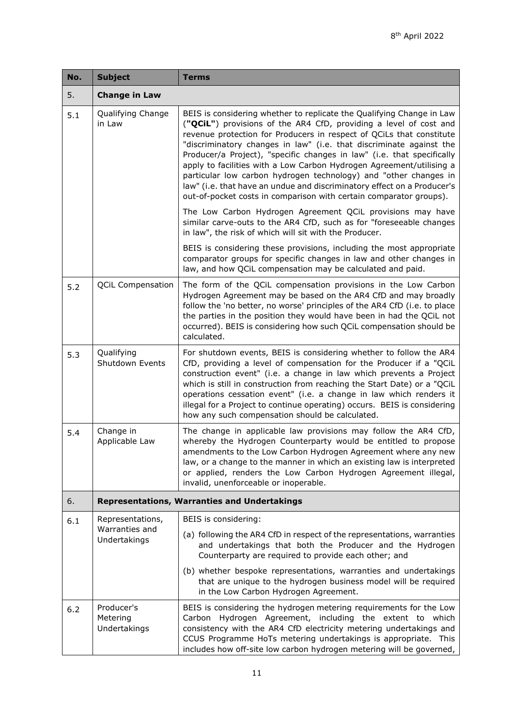| No. | <b>Subject</b>                                      | <b>Terms</b>                                                                                                                                                                                                                                                                                                                                                                                                                                                                                                                                                                                                                                                     |
|-----|-----------------------------------------------------|------------------------------------------------------------------------------------------------------------------------------------------------------------------------------------------------------------------------------------------------------------------------------------------------------------------------------------------------------------------------------------------------------------------------------------------------------------------------------------------------------------------------------------------------------------------------------------------------------------------------------------------------------------------|
| 5.  | <b>Change in Law</b>                                |                                                                                                                                                                                                                                                                                                                                                                                                                                                                                                                                                                                                                                                                  |
| 5.1 | Qualifying Change<br>in Law                         | BEIS is considering whether to replicate the Qualifying Change in Law<br>("QCiL") provisions of the AR4 CfD, providing a level of cost and<br>revenue protection for Producers in respect of QCiLs that constitute<br>"discriminatory changes in law" (i.e. that discriminate against the<br>Producer/a Project), "specific changes in law" (i.e. that specifically<br>apply to facilities with a Low Carbon Hydrogen Agreement/utilising a<br>particular low carbon hydrogen technology) and "other changes in<br>law" (i.e. that have an undue and discriminatory effect on a Producer's<br>out-of-pocket costs in comparison with certain comparator groups). |
|     |                                                     | The Low Carbon Hydrogen Agreement QCiL provisions may have<br>similar carve-outs to the AR4 CfD, such as for "foreseeable changes<br>in law", the risk of which will sit with the Producer.                                                                                                                                                                                                                                                                                                                                                                                                                                                                      |
|     |                                                     | BEIS is considering these provisions, including the most appropriate<br>comparator groups for specific changes in law and other changes in<br>law, and how QCiL compensation may be calculated and paid.                                                                                                                                                                                                                                                                                                                                                                                                                                                         |
| 5.2 | <b>QCiL Compensation</b>                            | The form of the QCiL compensation provisions in the Low Carbon<br>Hydrogen Agreement may be based on the AR4 CfD and may broadly<br>follow the 'no better, no worse' principles of the AR4 CfD (i.e. to place<br>the parties in the position they would have been in had the QCiL not<br>occurred). BEIS is considering how such QCiL compensation should be<br>calculated.                                                                                                                                                                                                                                                                                      |
| 5.3 | Qualifying<br>Shutdown Events                       | For shutdown events, BEIS is considering whether to follow the AR4<br>CfD, providing a level of compensation for the Producer if a "QCiL<br>construction event" (i.e. a change in law which prevents a Project<br>which is still in construction from reaching the Start Date) or a "QCiL<br>operations cessation event" (i.e. a change in law which renders it<br>illegal for a Project to continue operating) occurs. BEIS is considering<br>how any such compensation should be calculated.                                                                                                                                                                   |
| 5.4 | Change in<br>Applicable Law                         | The change in applicable law provisions may follow the AR4 CfD,<br>whereby the Hydrogen Counterparty would be entitled to propose<br>amendments to the Low Carbon Hydrogen Agreement where any new<br>law, or a change to the manner in which an existing law is interpreted<br>or applied, renders the Low Carbon Hydrogen Agreement illegal,<br>invalid, unenforceable or inoperable.                                                                                                                                                                                                                                                                          |
| 6.  | <b>Representations, Warranties and Undertakings</b> |                                                                                                                                                                                                                                                                                                                                                                                                                                                                                                                                                                                                                                                                  |
| 6.1 | Representations,                                    | BEIS is considering:                                                                                                                                                                                                                                                                                                                                                                                                                                                                                                                                                                                                                                             |
|     | Warranties and<br>Undertakings                      | (a) following the AR4 CfD in respect of the representations, warranties<br>and undertakings that both the Producer and the Hydrogen<br>Counterparty are required to provide each other; and                                                                                                                                                                                                                                                                                                                                                                                                                                                                      |
|     |                                                     | (b) whether bespoke representations, warranties and undertakings<br>that are unique to the hydrogen business model will be required<br>in the Low Carbon Hydrogen Agreement.                                                                                                                                                                                                                                                                                                                                                                                                                                                                                     |
| 6.2 | Producer's<br>Metering<br>Undertakings              | BEIS is considering the hydrogen metering requirements for the Low<br>Carbon Hydrogen Agreement, including the extent to which<br>consistency with the AR4 CfD electricity metering undertakings and<br>CCUS Programme HoTs metering undertakings is appropriate. This<br>includes how off-site low carbon hydrogen metering will be governed,                                                                                                                                                                                                                                                                                                                   |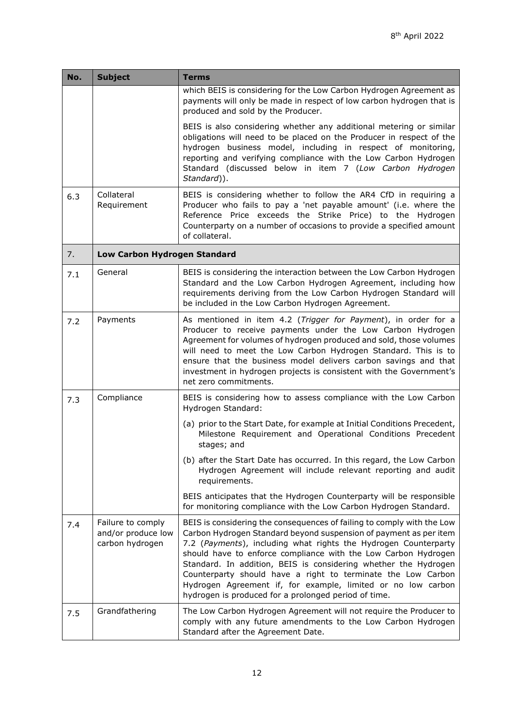<span id="page-11-2"></span><span id="page-11-1"></span><span id="page-11-0"></span>

| No. | <b>Subject</b>                                             | Terms                                                                                                                                                                                                                                                                                                                                                                                                                                                                                                                                       |
|-----|------------------------------------------------------------|---------------------------------------------------------------------------------------------------------------------------------------------------------------------------------------------------------------------------------------------------------------------------------------------------------------------------------------------------------------------------------------------------------------------------------------------------------------------------------------------------------------------------------------------|
|     |                                                            | which BEIS is considering for the Low Carbon Hydrogen Agreement as<br>payments will only be made in respect of low carbon hydrogen that is<br>produced and sold by the Producer.                                                                                                                                                                                                                                                                                                                                                            |
|     |                                                            | BEIS is also considering whether any additional metering or similar<br>obligations will need to be placed on the Producer in respect of the<br>hydrogen business model, including in respect of monitoring,<br>reporting and verifying compliance with the Low Carbon Hydrogen<br>Standard (discussed below in item 7 (Low Carbon Hydrogen<br>Standard)).                                                                                                                                                                                   |
| 6.3 | Collateral<br>Requirement                                  | BEIS is considering whether to follow the AR4 CfD in requiring a<br>Producer who fails to pay a 'net payable amount' (i.e. where the<br>Reference Price exceeds the Strike Price) to the Hydrogen<br>Counterparty on a number of occasions to provide a specified amount<br>of collateral.                                                                                                                                                                                                                                                  |
| 7.  | Low Carbon Hydrogen Standard                               |                                                                                                                                                                                                                                                                                                                                                                                                                                                                                                                                             |
| 7.1 | General                                                    | BEIS is considering the interaction between the Low Carbon Hydrogen<br>Standard and the Low Carbon Hydrogen Agreement, including how<br>requirements deriving from the Low Carbon Hydrogen Standard will<br>be included in the Low Carbon Hydrogen Agreement.                                                                                                                                                                                                                                                                               |
| 7.2 | Payments                                                   | As mentioned in item 4.2 (Trigger for Payment), in order for a<br>Producer to receive payments under the Low Carbon Hydrogen<br>Agreement for volumes of hydrogen produced and sold, those volumes<br>will need to meet the Low Carbon Hydrogen Standard. This is to<br>ensure that the business model delivers carbon savings and that<br>investment in hydrogen projects is consistent with the Government's<br>net zero commitments.                                                                                                     |
| 7.3 | Compliance                                                 | BEIS is considering how to assess compliance with the Low Carbon<br>Hydrogen Standard:                                                                                                                                                                                                                                                                                                                                                                                                                                                      |
|     |                                                            | (a) prior to the Start Date, for example at Initial Conditions Precedent,<br>Milestone Requirement and Operational Conditions Precedent<br>stages; and                                                                                                                                                                                                                                                                                                                                                                                      |
|     |                                                            | (b) after the Start Date has occurred. In this regard, the Low Carbon<br>Hydrogen Agreement will include relevant reporting and audit<br>requirements.                                                                                                                                                                                                                                                                                                                                                                                      |
|     |                                                            | BEIS anticipates that the Hydrogen Counterparty will be responsible<br>for monitoring compliance with the Low Carbon Hydrogen Standard.                                                                                                                                                                                                                                                                                                                                                                                                     |
| 7.4 | Failure to comply<br>and/or produce low<br>carbon hydrogen | BEIS is considering the consequences of failing to comply with the Low<br>Carbon Hydrogen Standard beyond suspension of payment as per item<br>7.2 (Payments), including what rights the Hydrogen Counterparty<br>should have to enforce compliance with the Low Carbon Hydrogen<br>Standard. In addition, BEIS is considering whether the Hydrogen<br>Counterparty should have a right to terminate the Low Carbon<br>Hydrogen Agreement if, for example, limited or no low carbon<br>hydrogen is produced for a prolonged period of time. |
| 7.5 | Grandfathering                                             | The Low Carbon Hydrogen Agreement will not require the Producer to<br>comply with any future amendments to the Low Carbon Hydrogen<br>Standard after the Agreement Date.                                                                                                                                                                                                                                                                                                                                                                    |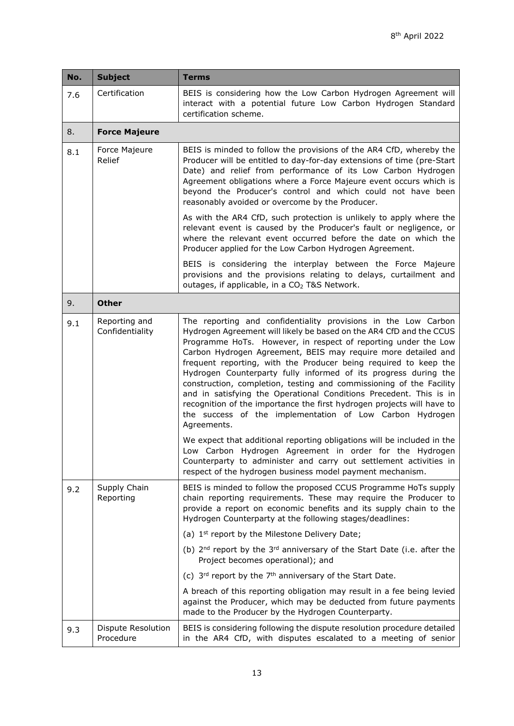<span id="page-12-0"></span>

| No. | <b>Subject</b>                   | <b>Terms</b>                                                                                                                                                                                                                                                                                                                                                                                                                                                                                                                                                                                                                                                                                                      |
|-----|----------------------------------|-------------------------------------------------------------------------------------------------------------------------------------------------------------------------------------------------------------------------------------------------------------------------------------------------------------------------------------------------------------------------------------------------------------------------------------------------------------------------------------------------------------------------------------------------------------------------------------------------------------------------------------------------------------------------------------------------------------------|
| 7.6 | Certification                    | BEIS is considering how the Low Carbon Hydrogen Agreement will<br>interact with a potential future Low Carbon Hydrogen Standard<br>certification scheme.                                                                                                                                                                                                                                                                                                                                                                                                                                                                                                                                                          |
| 8.  | <b>Force Majeure</b>             |                                                                                                                                                                                                                                                                                                                                                                                                                                                                                                                                                                                                                                                                                                                   |
| 8.1 | Force Majeure<br>Relief          | BEIS is minded to follow the provisions of the AR4 CfD, whereby the<br>Producer will be entitled to day-for-day extensions of time (pre-Start<br>Date) and relief from performance of its Low Carbon Hydrogen<br>Agreement obligations where a Force Majeure event occurs which is<br>beyond the Producer's control and which could not have been<br>reasonably avoided or overcome by the Producer.                                                                                                                                                                                                                                                                                                              |
|     |                                  | As with the AR4 CfD, such protection is unlikely to apply where the<br>relevant event is caused by the Producer's fault or negligence, or<br>where the relevant event occurred before the date on which the<br>Producer applied for the Low Carbon Hydrogen Agreement.                                                                                                                                                                                                                                                                                                                                                                                                                                            |
|     |                                  | BEIS is considering the interplay between the Force Majeure<br>provisions and the provisions relating to delays, curtailment and<br>outages, if applicable, in a CO <sub>2</sub> T&S Network.                                                                                                                                                                                                                                                                                                                                                                                                                                                                                                                     |
| 9.  | <b>Other</b>                     |                                                                                                                                                                                                                                                                                                                                                                                                                                                                                                                                                                                                                                                                                                                   |
| 9.1 | Reporting and<br>Confidentiality | The reporting and confidentiality provisions in the Low Carbon<br>Hydrogen Agreement will likely be based on the AR4 CfD and the CCUS<br>Programme HoTs. However, in respect of reporting under the Low<br>Carbon Hydrogen Agreement, BEIS may require more detailed and<br>frequent reporting, with the Producer being required to keep the<br>Hydrogen Counterparty fully informed of its progress during the<br>construction, completion, testing and commissioning of the Facility<br>and in satisfying the Operational Conditions Precedent. This is in<br>recognition of the importance the first hydrogen projects will have to<br>the success of the implementation of Low Carbon Hydrogen<br>Agreements. |
|     |                                  | We expect that additional reporting obligations will be included in the<br>Low Carbon Hydrogen Agreement in order for the Hydrogen<br>Counterparty to administer and carry out settlement activities in<br>respect of the hydrogen business model payment mechanism.                                                                                                                                                                                                                                                                                                                                                                                                                                              |
| 9.2 | Supply Chain<br>Reporting        | BEIS is minded to follow the proposed CCUS Programme HoTs supply<br>chain reporting requirements. These may require the Producer to<br>provide a report on economic benefits and its supply chain to the<br>Hydrogen Counterparty at the following stages/deadlines:                                                                                                                                                                                                                                                                                                                                                                                                                                              |
|     |                                  | (a) 1 <sup>st</sup> report by the Milestone Delivery Date;                                                                                                                                                                                                                                                                                                                                                                                                                                                                                                                                                                                                                                                        |
|     |                                  | (b) $2nd$ report by the $3rd$ anniversary of the Start Date (i.e. after the<br>Project becomes operational); and                                                                                                                                                                                                                                                                                                                                                                                                                                                                                                                                                                                                  |
|     |                                  | (c) 3rd report by the 7 <sup>th</sup> anniversary of the Start Date.                                                                                                                                                                                                                                                                                                                                                                                                                                                                                                                                                                                                                                              |
|     |                                  | A breach of this reporting obligation may result in a fee being levied<br>against the Producer, which may be deducted from future payments<br>made to the Producer by the Hydrogen Counterparty.                                                                                                                                                                                                                                                                                                                                                                                                                                                                                                                  |
| 9.3 | Dispute Resolution<br>Procedure  | BEIS is considering following the dispute resolution procedure detailed<br>in the AR4 CfD, with disputes escalated to a meeting of senior                                                                                                                                                                                                                                                                                                                                                                                                                                                                                                                                                                         |
|     |                                  |                                                                                                                                                                                                                                                                                                                                                                                                                                                                                                                                                                                                                                                                                                                   |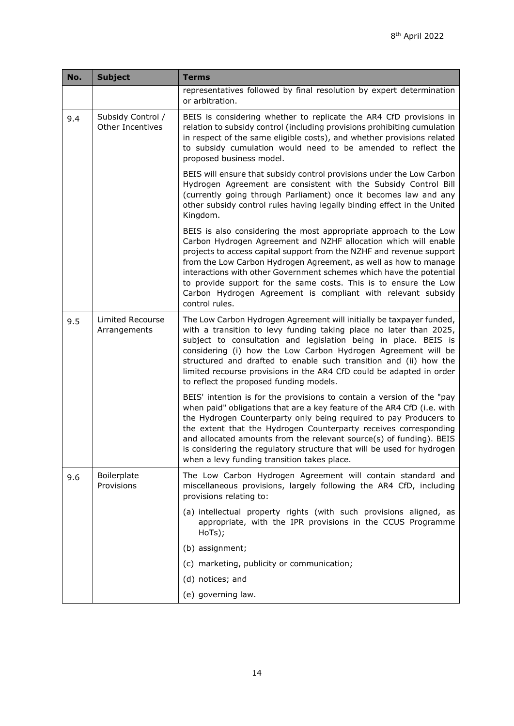| No. | <b>Subject</b>                          | <b>Terms</b>                                                                                                                                                                                                                                                                                                                                                                                                                                                                                                  |
|-----|-----------------------------------------|---------------------------------------------------------------------------------------------------------------------------------------------------------------------------------------------------------------------------------------------------------------------------------------------------------------------------------------------------------------------------------------------------------------------------------------------------------------------------------------------------------------|
|     |                                         | representatives followed by final resolution by expert determination<br>or arbitration.                                                                                                                                                                                                                                                                                                                                                                                                                       |
| 9.4 | Subsidy Control /<br>Other Incentives   | BEIS is considering whether to replicate the AR4 CfD provisions in<br>relation to subsidy control (including provisions prohibiting cumulation<br>in respect of the same eligible costs), and whether provisions related<br>to subsidy cumulation would need to be amended to reflect the<br>proposed business model.                                                                                                                                                                                         |
|     |                                         | BEIS will ensure that subsidy control provisions under the Low Carbon<br>Hydrogen Agreement are consistent with the Subsidy Control Bill<br>(currently going through Parliament) once it becomes law and any<br>other subsidy control rules having legally binding effect in the United<br>Kingdom.                                                                                                                                                                                                           |
|     |                                         | BEIS is also considering the most appropriate approach to the Low<br>Carbon Hydrogen Agreement and NZHF allocation which will enable<br>projects to access capital support from the NZHF and revenue support<br>from the Low Carbon Hydrogen Agreement, as well as how to manage<br>interactions with other Government schemes which have the potential<br>to provide support for the same costs. This is to ensure the Low<br>Carbon Hydrogen Agreement is compliant with relevant subsidy<br>control rules. |
| 9.5 | <b>Limited Recourse</b><br>Arrangements | The Low Carbon Hydrogen Agreement will initially be taxpayer funded,<br>with a transition to levy funding taking place no later than 2025,<br>subject to consultation and legislation being in place. BEIS is<br>considering (i) how the Low Carbon Hydrogen Agreement will be<br>structured and drafted to enable such transition and (ii) how the<br>limited recourse provisions in the AR4 CfD could be adapted in order<br>to reflect the proposed funding models.                                        |
|     |                                         | BEIS' intention is for the provisions to contain a version of the "pay<br>when paid" obligations that are a key feature of the AR4 CfD (i.e. with<br>the Hydrogen Counterparty only being required to pay Producers to<br>the extent that the Hydrogen Counterparty receives corresponding<br>and allocated amounts from the relevant source(s) of funding). BEIS<br>is considering the regulatory structure that will be used for hydrogen<br>when a levy funding transition takes place.                    |
| 9.6 | Boilerplate<br>Provisions               | The Low Carbon Hydrogen Agreement will contain standard and<br>miscellaneous provisions, largely following the AR4 CfD, including<br>provisions relating to:                                                                                                                                                                                                                                                                                                                                                  |
|     |                                         | (a) intellectual property rights (with such provisions aligned, as<br>appropriate, with the IPR provisions in the CCUS Programme<br>HoTs);                                                                                                                                                                                                                                                                                                                                                                    |
|     |                                         | (b) assignment;                                                                                                                                                                                                                                                                                                                                                                                                                                                                                               |
|     |                                         | (c) marketing, publicity or communication;                                                                                                                                                                                                                                                                                                                                                                                                                                                                    |
|     |                                         | (d) notices; and                                                                                                                                                                                                                                                                                                                                                                                                                                                                                              |
|     |                                         | (e) governing law.                                                                                                                                                                                                                                                                                                                                                                                                                                                                                            |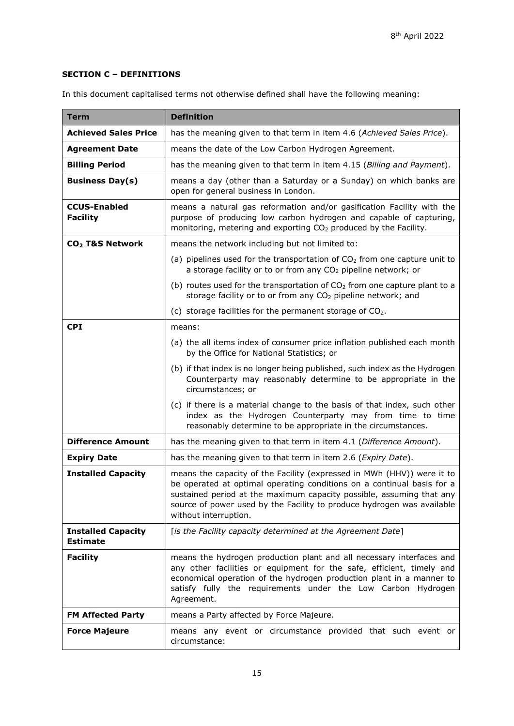## **SECTION C – DEFINITIONS**

| In this document capitalised terms not otherwise defined shall have the following meaning: |  |
|--------------------------------------------------------------------------------------------|--|
|--------------------------------------------------------------------------------------------|--|

| <b>Term</b>                                  | <b>Definition</b>                                                                                                                                                                                                                                                                                                           |
|----------------------------------------------|-----------------------------------------------------------------------------------------------------------------------------------------------------------------------------------------------------------------------------------------------------------------------------------------------------------------------------|
| <b>Achieved Sales Price</b>                  | has the meaning given to that term in item 4.6 (Achieved Sales Price).                                                                                                                                                                                                                                                      |
| <b>Agreement Date</b>                        | means the date of the Low Carbon Hydrogen Agreement.                                                                                                                                                                                                                                                                        |
| <b>Billing Period</b>                        | has the meaning given to that term in item 4.15 (Billing and Payment).                                                                                                                                                                                                                                                      |
| <b>Business Day(s)</b>                       | means a day (other than a Saturday or a Sunday) on which banks are<br>open for general business in London.                                                                                                                                                                                                                  |
| <b>CCUS-Enabled</b><br><b>Facility</b>       | means a natural gas reformation and/or gasification Facility with the<br>purpose of producing low carbon hydrogen and capable of capturing,<br>monitoring, metering and exporting CO <sub>2</sub> produced by the Facility.                                                                                                 |
| CO <sub>2</sub> T&S Network                  | means the network including but not limited to:                                                                                                                                                                                                                                                                             |
|                                              | (a) pipelines used for the transportation of $CO2$ from one capture unit to<br>a storage facility or to or from any CO <sub>2</sub> pipeline network; or                                                                                                                                                                    |
|                                              | (b) routes used for the transportation of $CO2$ from one capture plant to a<br>storage facility or to or from any CO <sub>2</sub> pipeline network; and                                                                                                                                                                     |
|                                              | (c) storage facilities for the permanent storage of $CO2$ .                                                                                                                                                                                                                                                                 |
| <b>CPI</b>                                   | means:                                                                                                                                                                                                                                                                                                                      |
|                                              | (a) the all items index of consumer price inflation published each month<br>by the Office for National Statistics; or                                                                                                                                                                                                       |
|                                              | (b) if that index is no longer being published, such index as the Hydrogen<br>Counterparty may reasonably determine to be appropriate in the<br>circumstances; or                                                                                                                                                           |
|                                              | (c) if there is a material change to the basis of that index, such other<br>index as the Hydrogen Counterparty may from time to time<br>reasonably determine to be appropriate in the circumstances.                                                                                                                        |
| <b>Difference Amount</b>                     | has the meaning given to that term in item 4.1 (Difference Amount).                                                                                                                                                                                                                                                         |
| <b>Expiry Date</b>                           | has the meaning given to that term in item 2.6 (Expiry Date).                                                                                                                                                                                                                                                               |
| <b>Installed Capacity</b>                    | means the capacity of the Facility (expressed in MWh (HHV)) were it to<br>be operated at optimal operating conditions on a continual basis for a<br>sustained period at the maximum capacity possible, assuming that any<br>source of power used by the Facility to produce hydrogen was available<br>without interruption. |
| <b>Installed Capacity</b><br><b>Estimate</b> | [is the Facility capacity determined at the Agreement Date]                                                                                                                                                                                                                                                                 |
| <b>Facility</b>                              | means the hydrogen production plant and all necessary interfaces and<br>any other facilities or equipment for the safe, efficient, timely and<br>economical operation of the hydrogen production plant in a manner to<br>satisfy fully the requirements under the Low Carbon Hydrogen<br>Agreement.                         |
| <b>FM Affected Party</b>                     | means a Party affected by Force Majeure.                                                                                                                                                                                                                                                                                    |
| <b>Force Majeure</b>                         | means any event or circumstance provided that such event or<br>circumstance:                                                                                                                                                                                                                                                |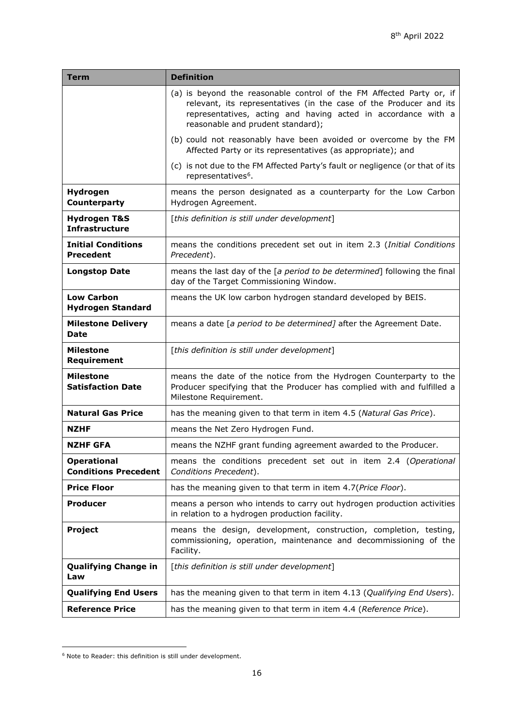| Term                                              | <b>Definition</b>                                                                                                                                                                                                                                |
|---------------------------------------------------|--------------------------------------------------------------------------------------------------------------------------------------------------------------------------------------------------------------------------------------------------|
|                                                   | (a) is beyond the reasonable control of the FM Affected Party or, if<br>relevant, its representatives (in the case of the Producer and its<br>representatives, acting and having acted in accordance with a<br>reasonable and prudent standard); |
|                                                   | (b) could not reasonably have been avoided or overcome by the FM<br>Affected Party or its representatives (as appropriate); and                                                                                                                  |
|                                                   | (c) is not due to the FM Affected Party's fault or negligence (or that of its<br>representatives <sup>6</sup> .                                                                                                                                  |
| Hydrogen<br>Counterparty                          | means the person designated as a counterparty for the Low Carbon<br>Hydrogen Agreement.                                                                                                                                                          |
| <b>Hydrogen T&amp;S</b><br><b>Infrastructure</b>  | [this definition is still under development]                                                                                                                                                                                                     |
| <b>Initial Conditions</b><br><b>Precedent</b>     | means the conditions precedent set out in item 2.3 (Initial Conditions<br>Precedent).                                                                                                                                                            |
| <b>Longstop Date</b>                              | means the last day of the [a period to be determined] following the final<br>day of the Target Commissioning Window.                                                                                                                             |
| <b>Low Carbon</b><br><b>Hydrogen Standard</b>     | means the UK low carbon hydrogen standard developed by BEIS.                                                                                                                                                                                     |
| <b>Milestone Delivery</b><br>Date                 | means a date [a period to be determined] after the Agreement Date.                                                                                                                                                                               |
| <b>Milestone</b><br>Requirement                   | [this definition is still under development]                                                                                                                                                                                                     |
| <b>Milestone</b><br><b>Satisfaction Date</b>      | means the date of the notice from the Hydrogen Counterparty to the<br>Producer specifying that the Producer has complied with and fulfilled a<br>Milestone Requirement.                                                                          |
| <b>Natural Gas Price</b>                          | has the meaning given to that term in item 4.5 (Natural Gas Price).                                                                                                                                                                              |
| NZHF                                              | means the Net Zero Hydrogen Fund.                                                                                                                                                                                                                |
| <b>NZHF GFA</b>                                   | means the NZHF grant funding agreement awarded to the Producer.                                                                                                                                                                                  |
| <b>Operational</b><br><b>Conditions Precedent</b> | means the conditions precedent set out in item 2.4 (Operational<br>Conditions Precedent).                                                                                                                                                        |
| <b>Price Floor</b>                                | has the meaning given to that term in item 4.7(Price Floor).                                                                                                                                                                                     |
| <b>Producer</b>                                   | means a person who intends to carry out hydrogen production activities<br>in relation to a hydrogen production facility.                                                                                                                         |
| <b>Project</b>                                    | means the design, development, construction, completion, testing,<br>commissioning, operation, maintenance and decommissioning of the<br>Facility.                                                                                               |
| <b>Qualifying Change in</b><br>Law                | [this definition is still under development]                                                                                                                                                                                                     |
| <b>Qualifying End Users</b>                       | has the meaning given to that term in item 4.13 (Qualifying End Users).                                                                                                                                                                          |
| <b>Reference Price</b>                            | has the meaning given to that term in item 4.4 (Reference Price).                                                                                                                                                                                |

<span id="page-15-0"></span><sup>6</sup> Note to Reader: this definition is still under development.